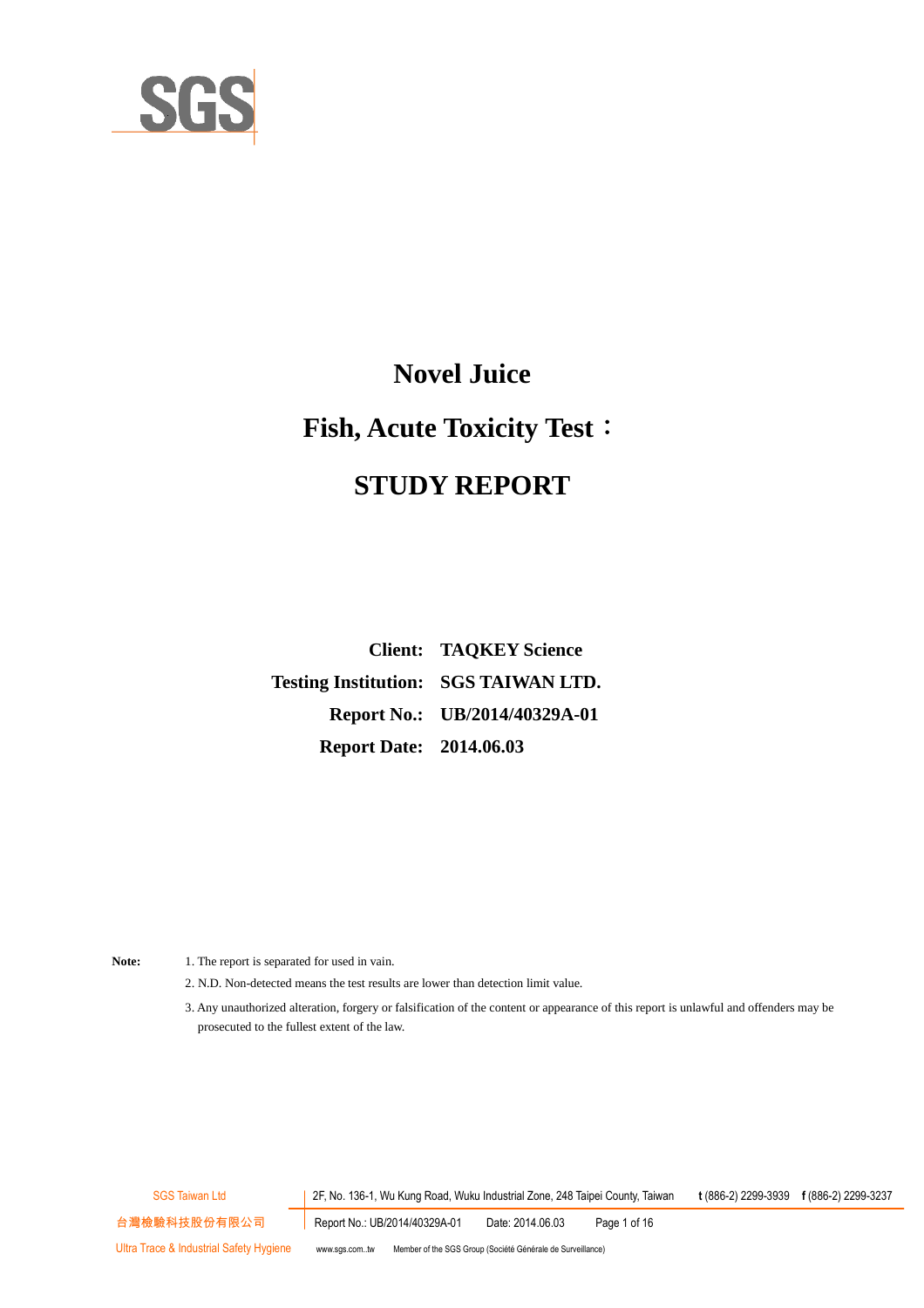

## **Novel Juice**

## **Fish, Acute Toxicity Test**:

# **STUDY REPORT**

**Client: TAQKEY Science Testing Institution: SGS TAIWAN LTD. Report No.: UB/2014/40329A-01 Report Date: 2014.06.03**

- Note: 1. The report is separated for used in vain.
	- 2. N.D. Non-detected means the test results are lower than detection limit value.
	- 3. Any unauthorized alteration, forgery or falsification of the content or appearance of this report is unlawful and offenders may be prosecuted to the fullest extent of the law.

SGS Taiwan Ltd 2F, No. 136-1, Wu Kung Road, Wuku Industrial Zone, 248 Taipei County, Taiwan **t** (886-2) 2299-3939 **f** (886-2) 2299-3237 台灣檢驗科技股份有限公司 Report No.: UB/2014/40329A-01 Date: 2014.06.03 Page 1 of 16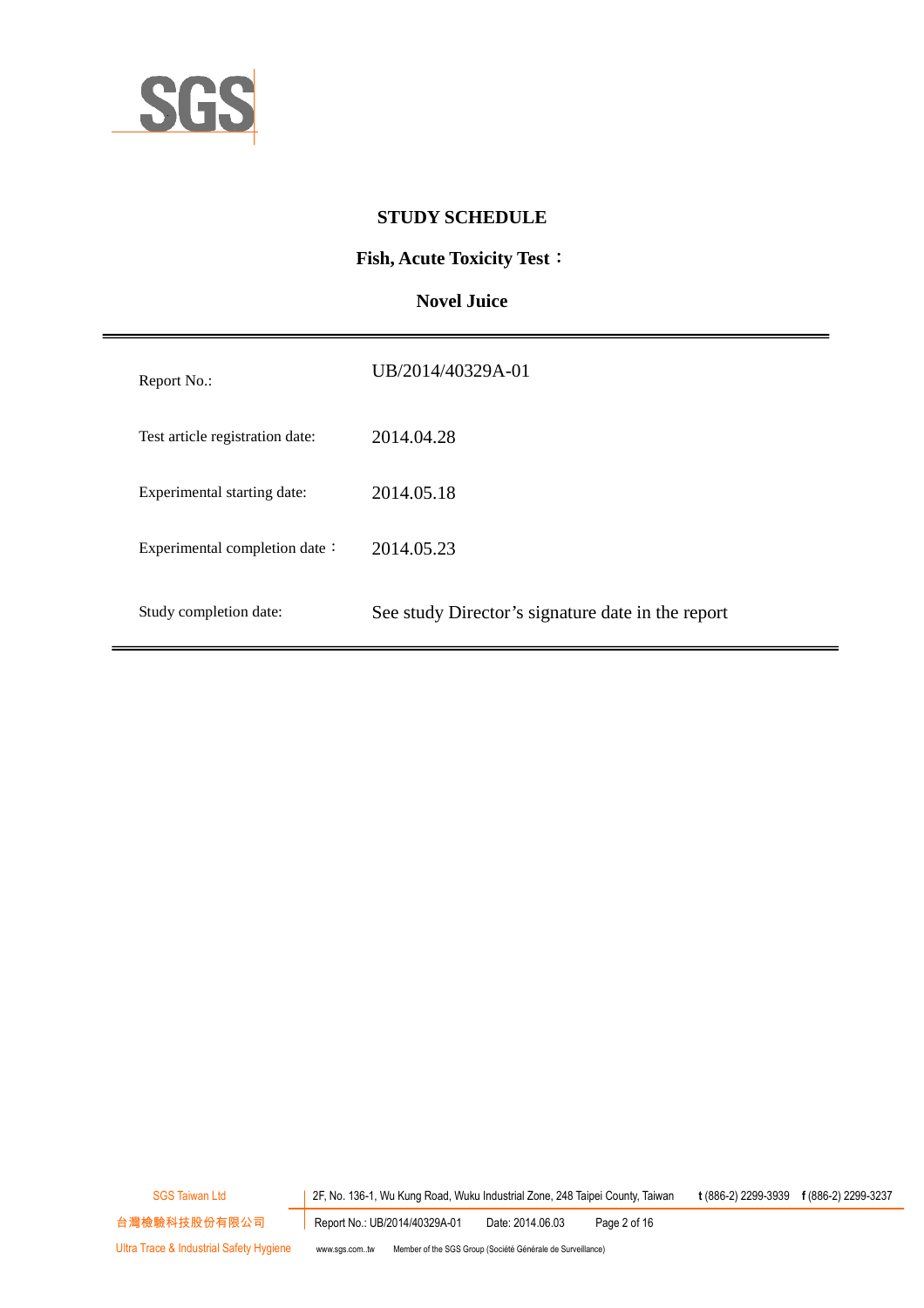

#### **STUDY SCHEDULE**

#### **Fish, Acute Toxicity Test**:

#### **Novel Juice**

| Report No.:                     | UB/2014/40329A-01                                 |
|---------------------------------|---------------------------------------------------|
| Test article registration date: | 2014.04.28                                        |
| Experimental starting date:     | 2014.05.18                                        |
| Experimental completion date:   | 2014.05.23                                        |
| Study completion date:          | See study Director's signature date in the report |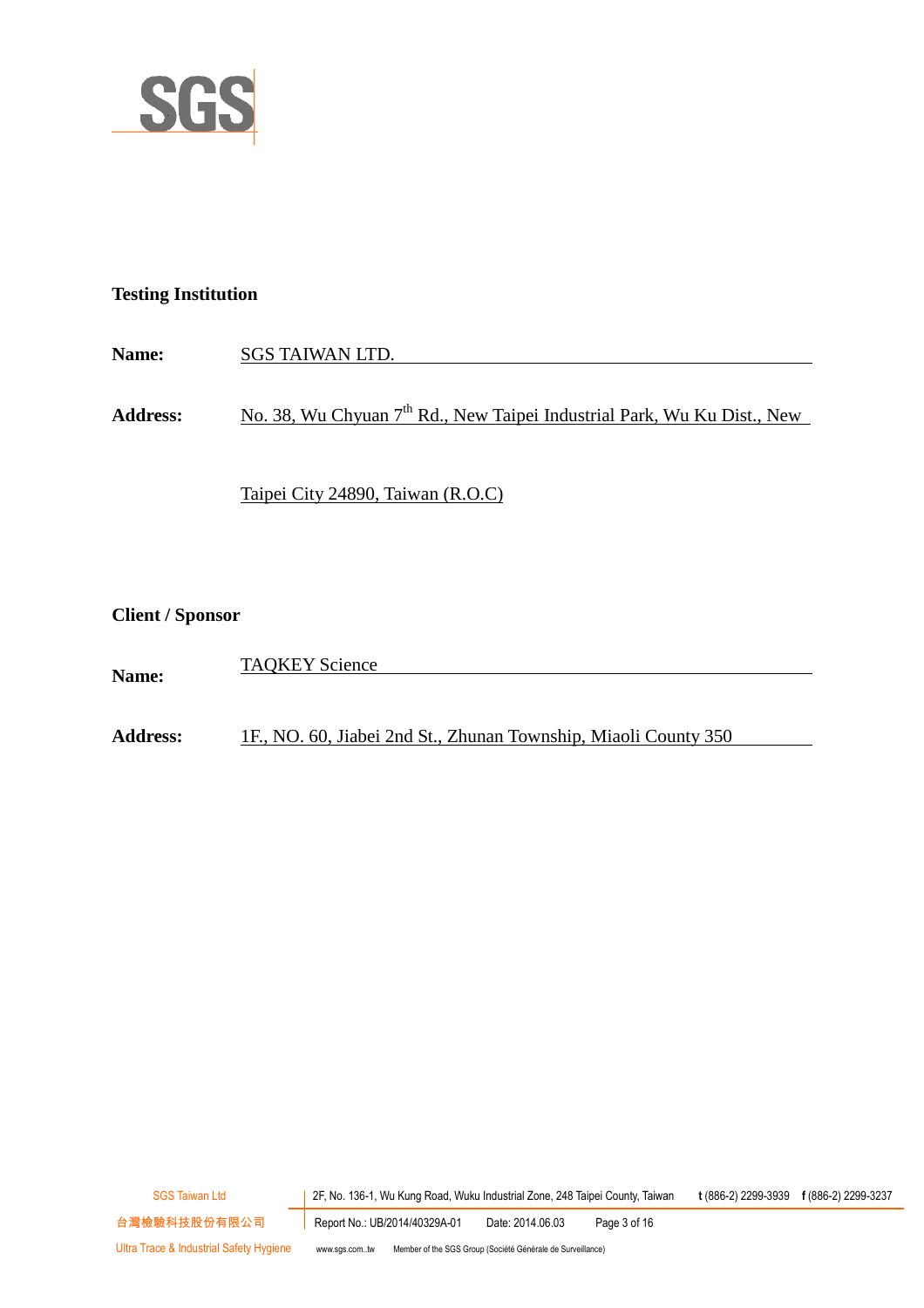

#### **Testing Institution**

| <b>Name:</b>    | SGS TAIWAN LTD.                                                                     |
|-----------------|-------------------------------------------------------------------------------------|
|                 |                                                                                     |
| <b>Address:</b> | No. 38, Wu Chyuan 7 <sup>th</sup> Rd., New Taipei Industrial Park, Wu Ku Dist., New |

Taipei City 24890, Taiwan (R.O.C)

**Client / Sponsor**

|              | <b>TAQKEY Science</b> |
|--------------|-----------------------|
| <b>Name:</b> |                       |

**Address:** 1F., NO. 60, Jiabei 2nd St., Zhunan Township, Miaoli County 350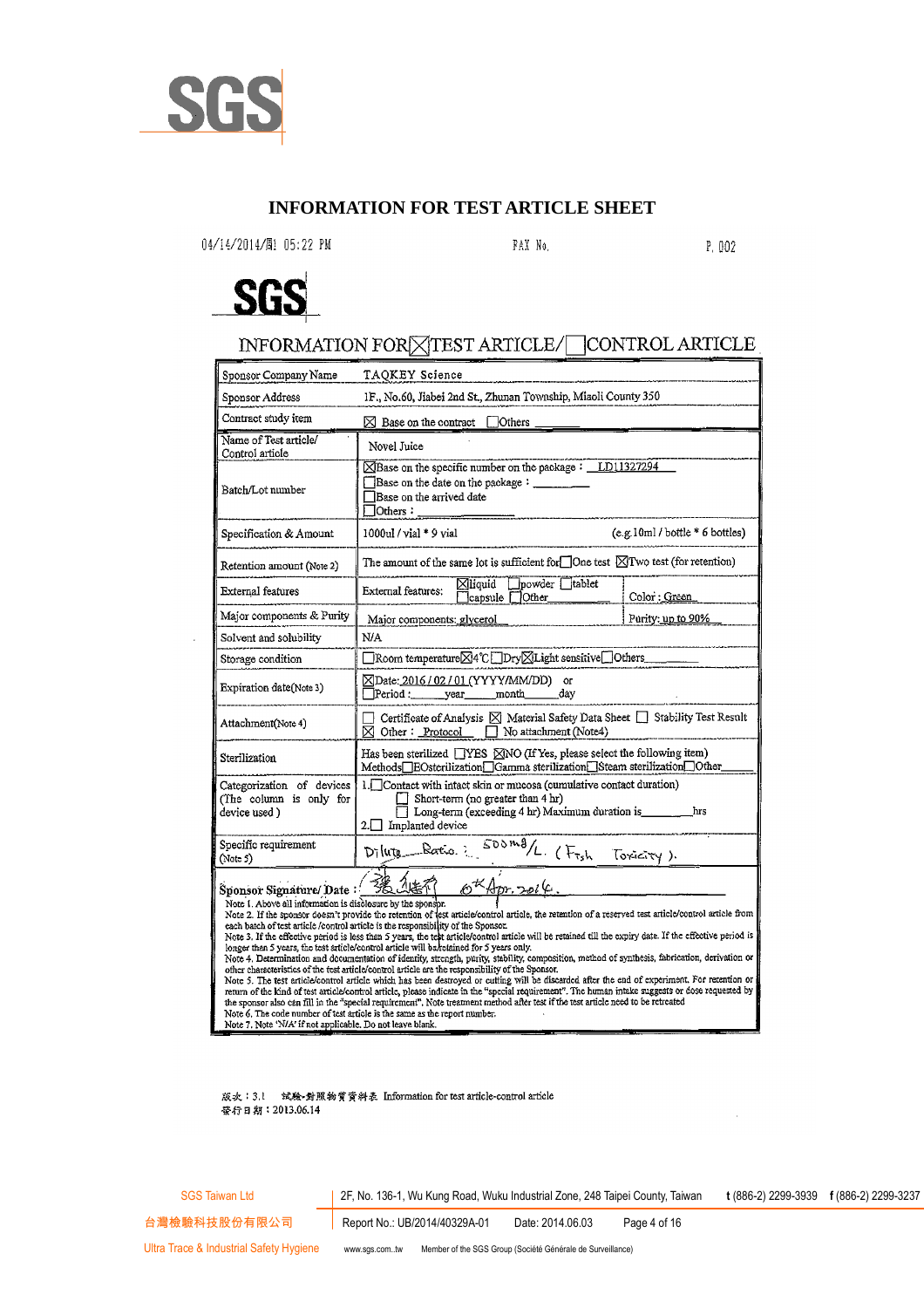

#### **INFORMATION FOR TEST ARTICLE SHEET**

04/14/2014/間 05:22 PM

FAX No.

P. 002



#### INFORMATION FORXTEST ARTICLE/ CONTROL ARTICLE

| Sponsor Company Name                                                                                                                                                                                                                                                                                                                                                                                                                                                                                                                                                                                                                                                                                                                                                                        | TAQKEY Science                                                                                                                                                                                                 |                               |  |  |
|---------------------------------------------------------------------------------------------------------------------------------------------------------------------------------------------------------------------------------------------------------------------------------------------------------------------------------------------------------------------------------------------------------------------------------------------------------------------------------------------------------------------------------------------------------------------------------------------------------------------------------------------------------------------------------------------------------------------------------------------------------------------------------------------|----------------------------------------------------------------------------------------------------------------------------------------------------------------------------------------------------------------|-------------------------------|--|--|
| Sponsor Address                                                                                                                                                                                                                                                                                                                                                                                                                                                                                                                                                                                                                                                                                                                                                                             | IF., No.60, Jiabei 2nd St., Zhunan Township, Miaoli County 350                                                                                                                                                 |                               |  |  |
| Contract study item                                                                                                                                                                                                                                                                                                                                                                                                                                                                                                                                                                                                                                                                                                                                                                         | $\boxtimes$ Base on the contract $\Box$ Others                                                                                                                                                                 |                               |  |  |
| Name of Test article/<br>Control article                                                                                                                                                                                                                                                                                                                                                                                                                                                                                                                                                                                                                                                                                                                                                    | Novel Juice                                                                                                                                                                                                    |                               |  |  |
| Batch/Lot number                                                                                                                                                                                                                                                                                                                                                                                                                                                                                                                                                                                                                                                                                                                                                                            | ⊠Base on the specific number on the package: LD11327294<br>Base on the date on the package: _______<br>Base on the arrived date<br>$I$ Others:                                                                 |                               |  |  |
| Specification & Amount                                                                                                                                                                                                                                                                                                                                                                                                                                                                                                                                                                                                                                                                                                                                                                      | 1000ul / vial * 9 vial                                                                                                                                                                                         | (e.g.10ml/bottle * 6 bottles) |  |  |
| Retention amount (Note 2)                                                                                                                                                                                                                                                                                                                                                                                                                                                                                                                                                                                                                                                                                                                                                                   | The amount of the same lot is sufficient for $\Box$ One test $\boxtimes$ Two test (for retention)                                                                                                              |                               |  |  |
| External features                                                                                                                                                                                                                                                                                                                                                                                                                                                                                                                                                                                                                                                                                                                                                                           | ⊠liquid powder tablet<br>External features:<br>$\Box$ capsule $\Box$ Other                                                                                                                                     | Color : Green                 |  |  |
| Major components & Purity                                                                                                                                                                                                                                                                                                                                                                                                                                                                                                                                                                                                                                                                                                                                                                   | Major components: glycerol                                                                                                                                                                                     | Purity: up to 90%             |  |  |
| Solvent and solubility                                                                                                                                                                                                                                                                                                                                                                                                                                                                                                                                                                                                                                                                                                                                                                      | N/A                                                                                                                                                                                                            |                               |  |  |
| Storage condition                                                                                                                                                                                                                                                                                                                                                                                                                                                                                                                                                                                                                                                                                                                                                                           | □Room temperature⊠4℃□Dry⊠Light sensitive□Others_                                                                                                                                                               |                               |  |  |
| Expiration date(Note 3)                                                                                                                                                                                                                                                                                                                                                                                                                                                                                                                                                                                                                                                                                                                                                                     | ⊠Date: 2016 / 02 / 01 (YYYY/MM/DD)<br><b>or</b><br>dav<br>Period: vear month                                                                                                                                   |                               |  |  |
| Attachment(Note 4)                                                                                                                                                                                                                                                                                                                                                                                                                                                                                                                                                                                                                                                                                                                                                                          | Certificate of Analysis ⊠ Material Safety Data Sheet IStability Test Result<br>$\boxtimes$ Other : Protocol $\Box$ No attachment (Note4)                                                                       |                               |  |  |
| Sterilization                                                                                                                                                                                                                                                                                                                                                                                                                                                                                                                                                                                                                                                                                                                                                                               | Has been sterilized $\Box$ YES $\boxtimes$ NO (If Yes, please select the following item)<br>Methods <sup>IBOsterilization<sup>IGamma</sup> sterilization<sup>ISteam</sup> sterilization<sup>IOther</sup></sup> |                               |  |  |
| Categorization of devices<br>(The column is only for<br>device used)                                                                                                                                                                                                                                                                                                                                                                                                                                                                                                                                                                                                                                                                                                                        | 1. Contact with intact skin or mucosa (cumulative contact duration)<br>Short-term (no greater than 4 hr)<br>Long-term (exceeding 4 hr) Maximum duration is ______<br>$2.$ Implanted device                     | hrs                           |  |  |
| Specific requirement<br>(Note 5)                                                                                                                                                                                                                                                                                                                                                                                                                                                                                                                                                                                                                                                                                                                                                            | Dilute Ratio : 500 mg/L. (Frsh Toxicity).                                                                                                                                                                      |                               |  |  |
| $\mathscr{O}^{\textsf{t}}$ Apr. 2014<br>3卷.4<br>Sponsor Signature/Date:<br>Note 1. Above all information is disclosure by the sponsor.<br>Note 2. If the sponsor doesn't provide the retention of lest article/control article, the retention of a reserved test article/control article from<br>each batch of test article/control article is the responsibility of the Sponsor.<br>Note 3. If the effective period is less than 5 years, the test article/control article will be retained till the expiry date. If the effective period is<br>longer than 5 years, the test article/control article will be retained for 5 years only.<br>Note 4. Determination and decumentation of identity, strength, purity, stability, composition, method of synthesis, fabrication, derivation or |                                                                                                                                                                                                                |                               |  |  |

Note 4. Determination and documentation of identity, strength, purity, stability, composition, method of synthesis, fabrication, derivation or other characteristics of the test article/control article are the responsibili

版次:3.1 试验-對照物質資料表 Information for test article-control article 登行日期: 2013.06.14

SGS Taiwan Ltd 2F, No. 136-1, Wu Kung Road, Wuku Industrial Zone, 248 Taipei County, Taiwan **t** (886-2) 2299-3939 **f** (886-2) 2299-3237

台灣檢驗科技股份有限公司 | Report No.: UB/2014/40329A-01 Date: 2014.06.03 Page 4 of 16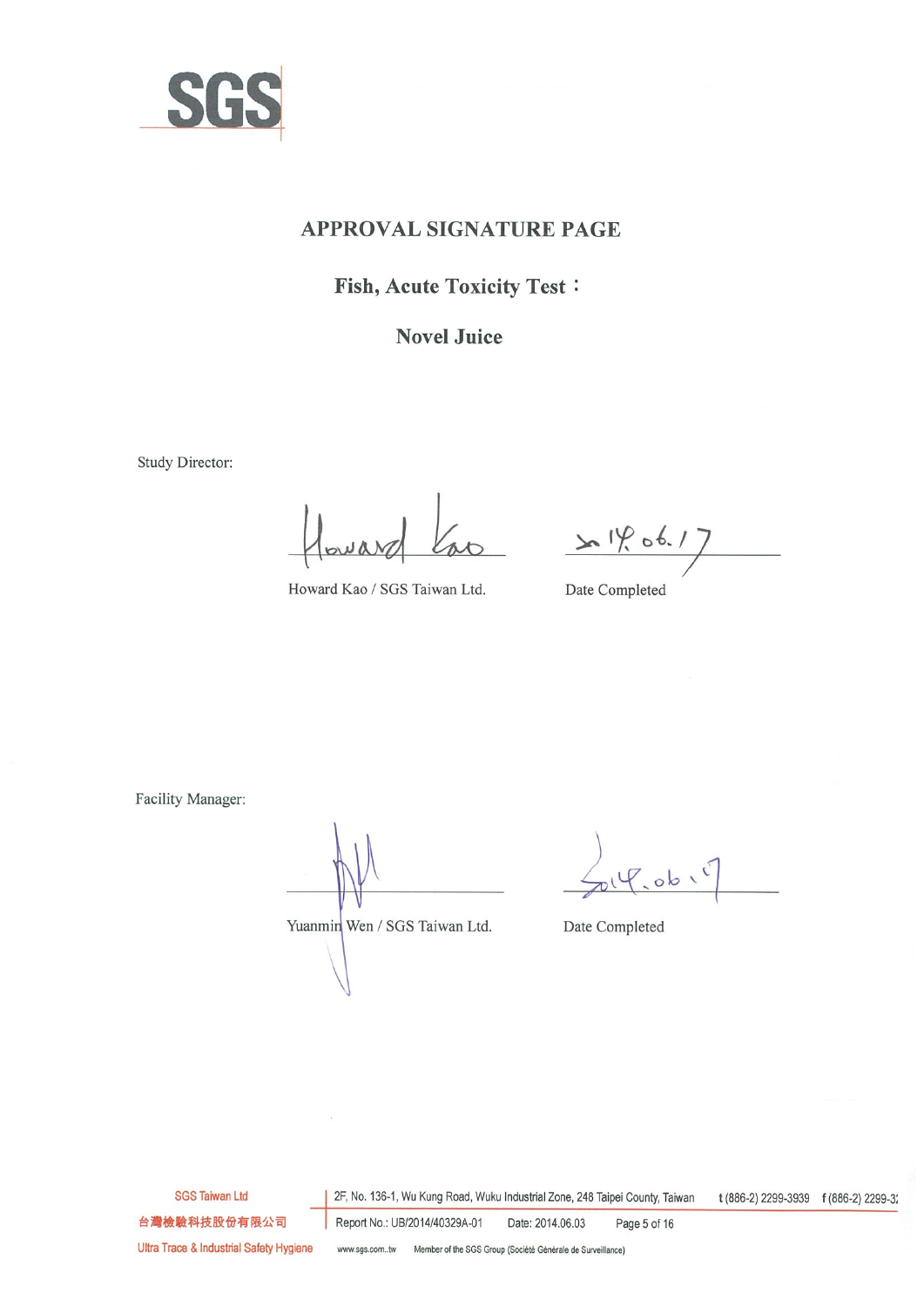

#### **APPROVAL SIGNATURE PAGE**

## **Fish, Acute Toxicity Test:**

### **Novel Juice**

Study Director:

ao 14.06.17

Howard Kao / SGS Taiwan Ltd.

Date Completed

Facility Manager:

Yuanmin Wen / SGS Taiwan Ltd.

 $2019.0616$ 

Date Completed

**SGS Taiwan Ltd** 

2F, No. 136-1, Wu Kung Road, Wuku Industrial Zone, 248 Taipei County, Taiwan t (886-2) 2299-3939 f (886-2) 2299-3;

台灣檢驗科技股份有限公司

Report No.: UB/2014/40329A-01 Date: 2014.06.03 Page 5 of 16

Ultra Trace & Industrial Safety Hygiene

www.sgs.com..tw Member of the SGS Group (Société Générale de Surveillance)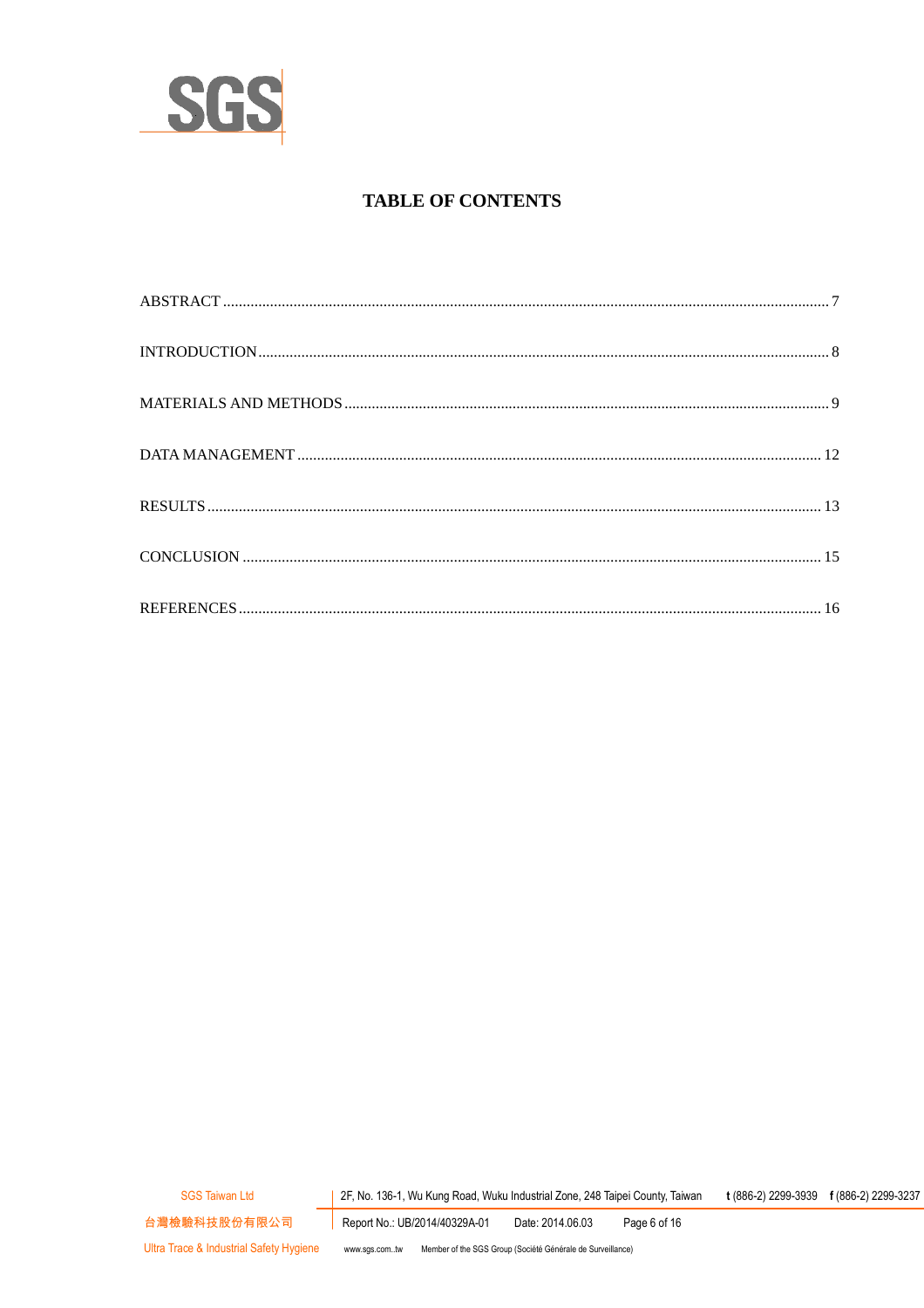

### **TABLE OF CONTENTS**

Page 6 of 16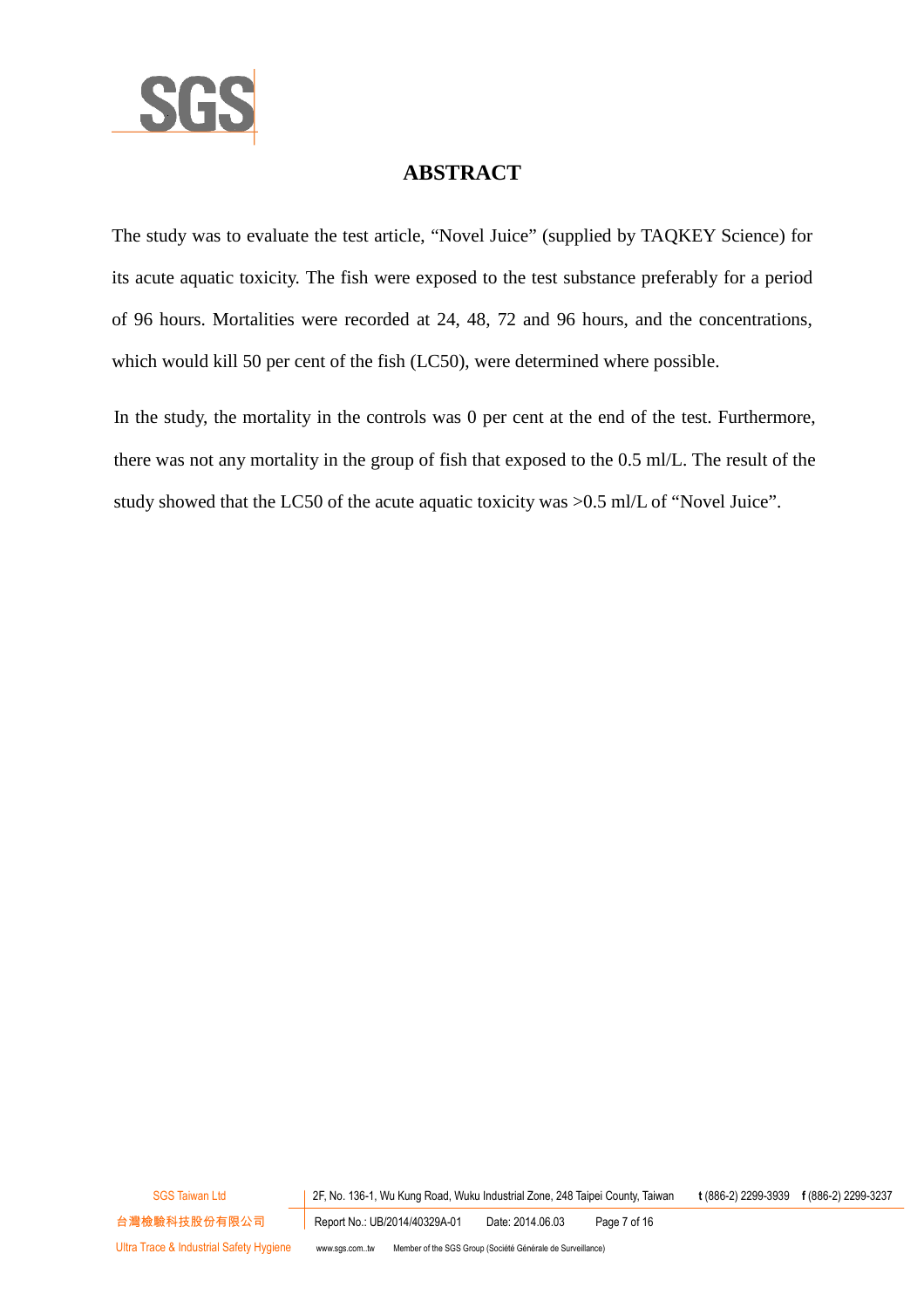

## **ABSTRACT**

The study was to evaluate the test article, "Novel Juice" (supplied by TAQKEY Science) for its acute aquatic toxicity. The fish were exposed to the test substance preferably for a period of 96 hours. Mortalities were recorded at 24, 48, 72 and 96 hours, and the concentrations, which would kill 50 per cent of the fish (LC50), were determined where possible.

In the study, the mortality in the controls was 0 per cent at the end of the test. Furthermore, there was not any mortality in the group of fish that exposed to the 0.5 ml/L. The result of the study showed that the LC50 of the acute aquatic toxicity was >0.5 ml/L of "Novel Juice".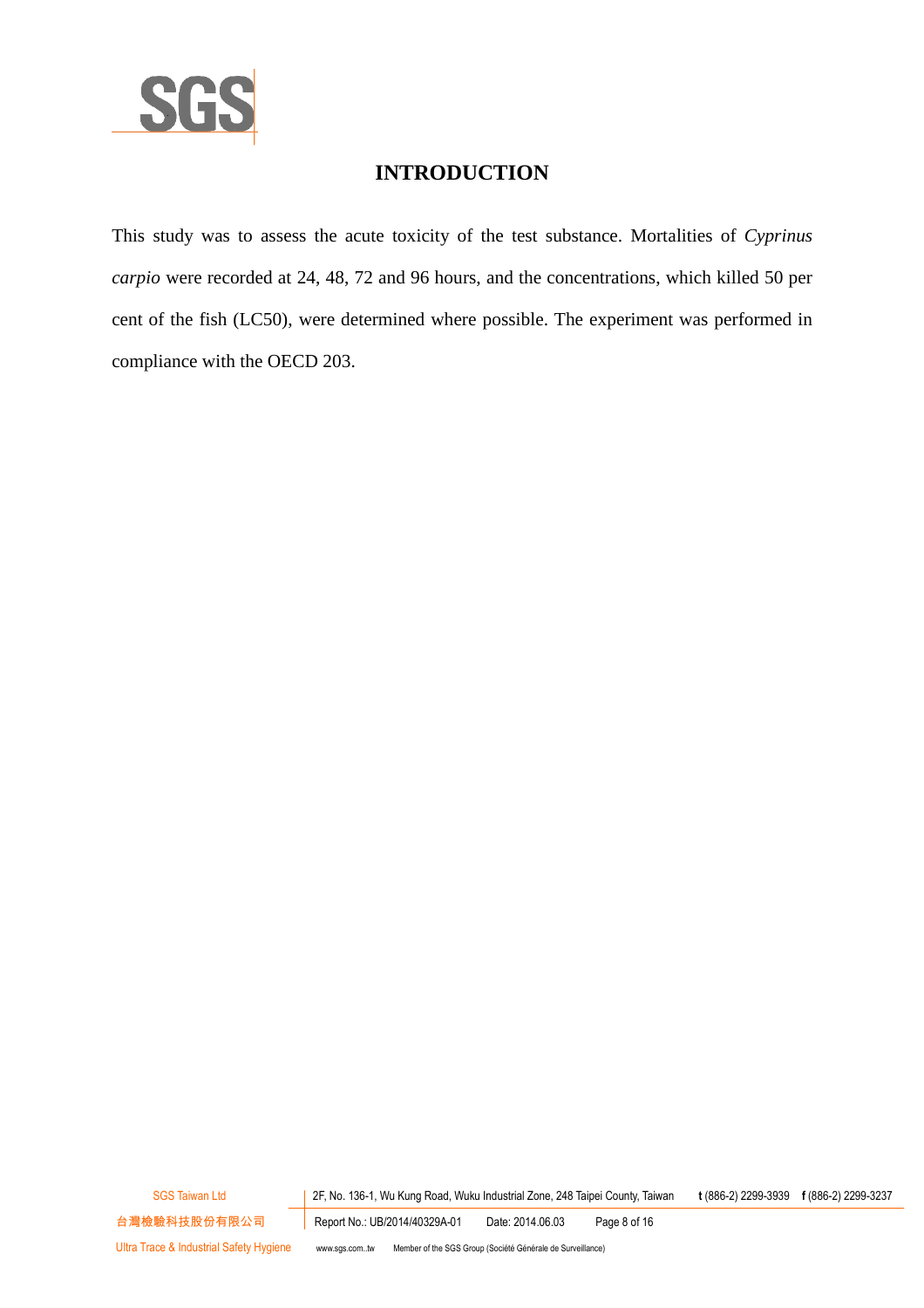

## **INTRODUCTION**

This study was to assess the acute toxicity of the test substance. Mortalities of *Cyprinus carpio* were recorded at 24, 48, 72 and 96 hours, and the concentrations, which killed 50 per cent of the fish (LC50), were determined where possible. The experiment was performed in compliance with the OECD 203.

SGS Taiwan Ltd 2F, No. 136-1, Wu Kung Road, Wuku Industrial Zone, 248 Taipei County, Taiwan **t** (886-2) 2299-3939 **f** (886-2) 2299-3237

台灣檢驗科技股份有限公司 Report No.: UB/2014/40329A-01 Date: 2014.06.03 Page 8 of 16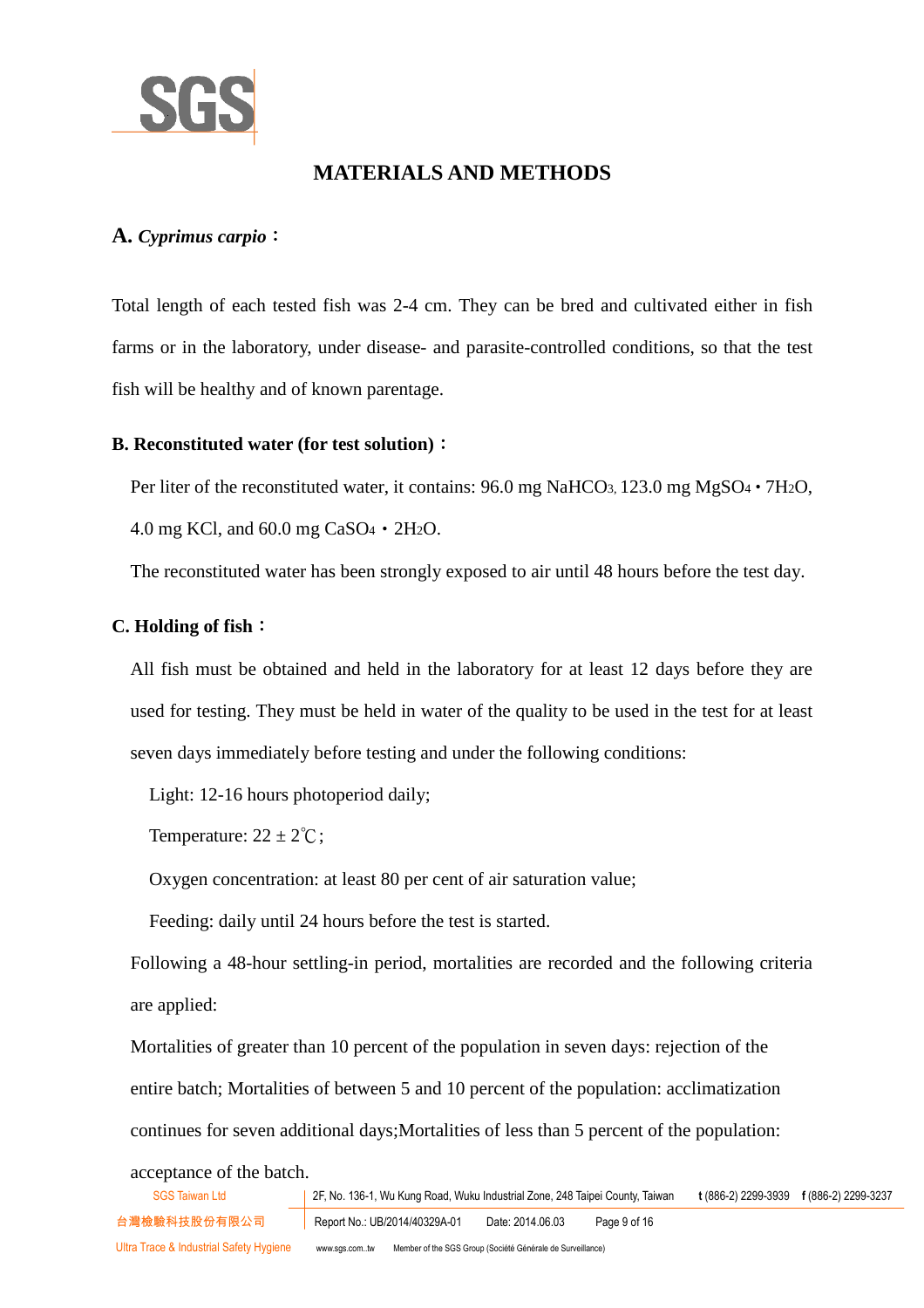

## **MATERIALS AND METHODS**

#### **A.** *Cyprimus carpio*:

Total length of each tested fish was 2-4 cm. They can be bred and cultivated either in fish farms or in the laboratory, under disease- and parasite-controlled conditions, so that the test fish will be healthy and of known parentage.

#### **B. Reconstituted water (for test solution)**:

Per liter of the reconstituted water, it contains: 96.0 mg NaHCO<sub>3</sub>, 123.0 mg MgSO<sub>4</sub> · 7H<sub>2</sub>O,

4.0 mg KCl, and 60.0 mg CaSO4‧2H2O.

The reconstituted water has been strongly exposed to air until 48 hours before the test day.

#### **C. Holding of fish**:

All fish must be obtained and held in the laboratory for at least 12 days before they are used for testing. They must be held in water of the quality to be used in the test for at least seven days immediately before testing and under the following conditions:

Light: 12-16 hours photoperiod daily;

Temperature:  $22 \pm 2^{\circ}\text{C}$ ;

Oxygen concentration: at least 80 per cent of air saturation value;

Feeding: daily until 24 hours before the test is started.

Following a 48-hour settling-in period, mortalities are recorded and the following criteria are applied:

Mortalities of greater than 10 percent of the population in seven days: rejection of the entire batch; Mortalities of between 5 and 10 percent of the population: acclimatization continues for seven additional days;Mortalities of less than 5 percent of the population:

acceptance of the batch.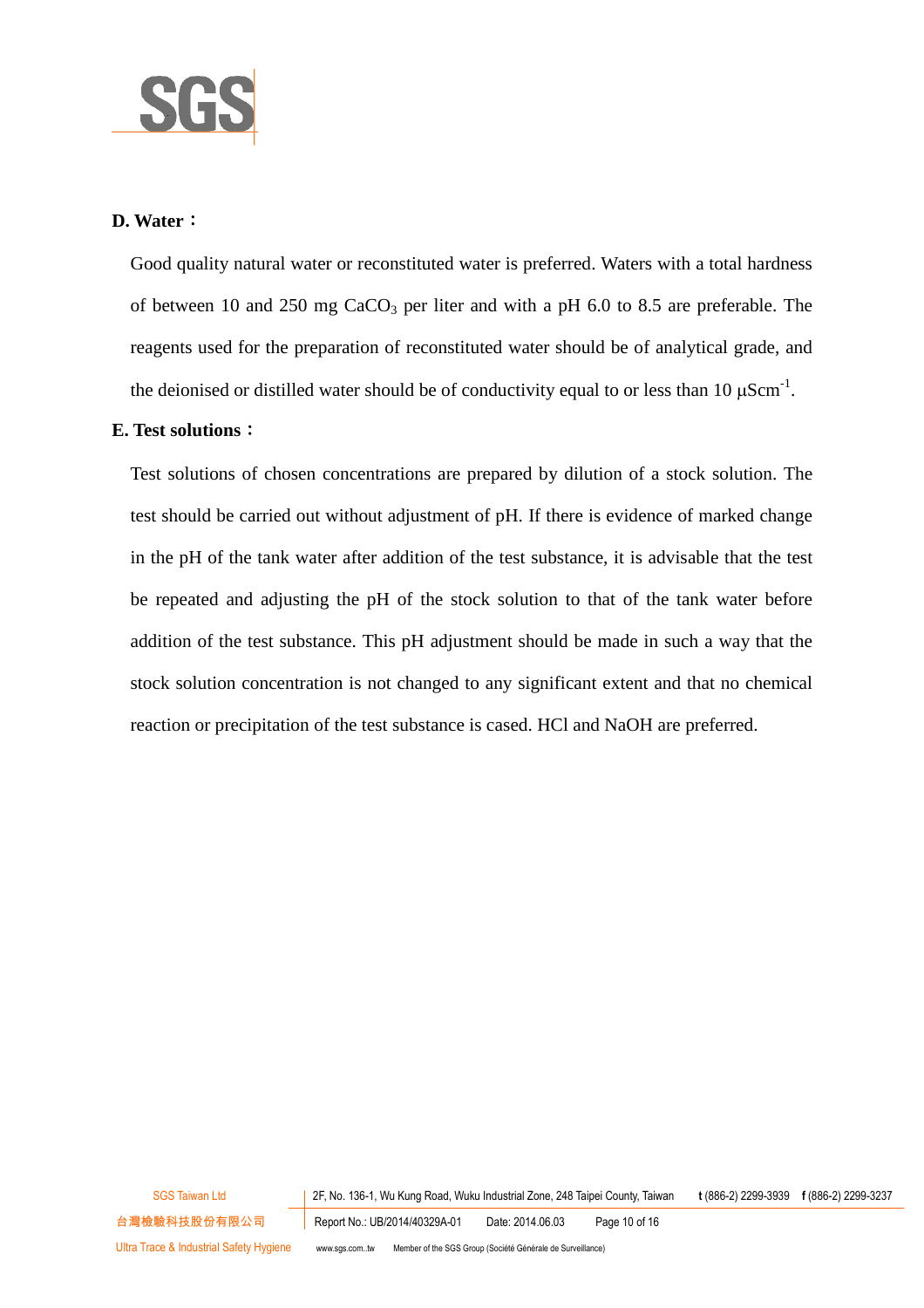

#### **D. Water**:

Good quality natural water or reconstituted water is preferred. Waters with a total hardness of between 10 and 250 mg  $CaCO<sub>3</sub>$  per liter and with a pH 6.0 to 8.5 are preferable. The reagents used for the preparation of reconstituted water should be of analytical grade, and the deionised or distilled water should be of conductivity equal to or less than 10  $\mu$ Scm<sup>-1</sup>.

#### **E. Test solutions**:

Test solutions of chosen concentrations are prepared by dilution of a stock solution. The test should be carried out without adjustment of pH. If there is evidence of marked change in the pH of the tank water after addition of the test substance, it is advisable that the test be repeated and adjusting the pH of the stock solution to that of the tank water before addition of the test substance. This pH adjustment should be made in such a way that the stock solution concentration is not changed to any significant extent and that no chemical reaction or precipitation of the test substance is cased. HCl and NaOH are preferred.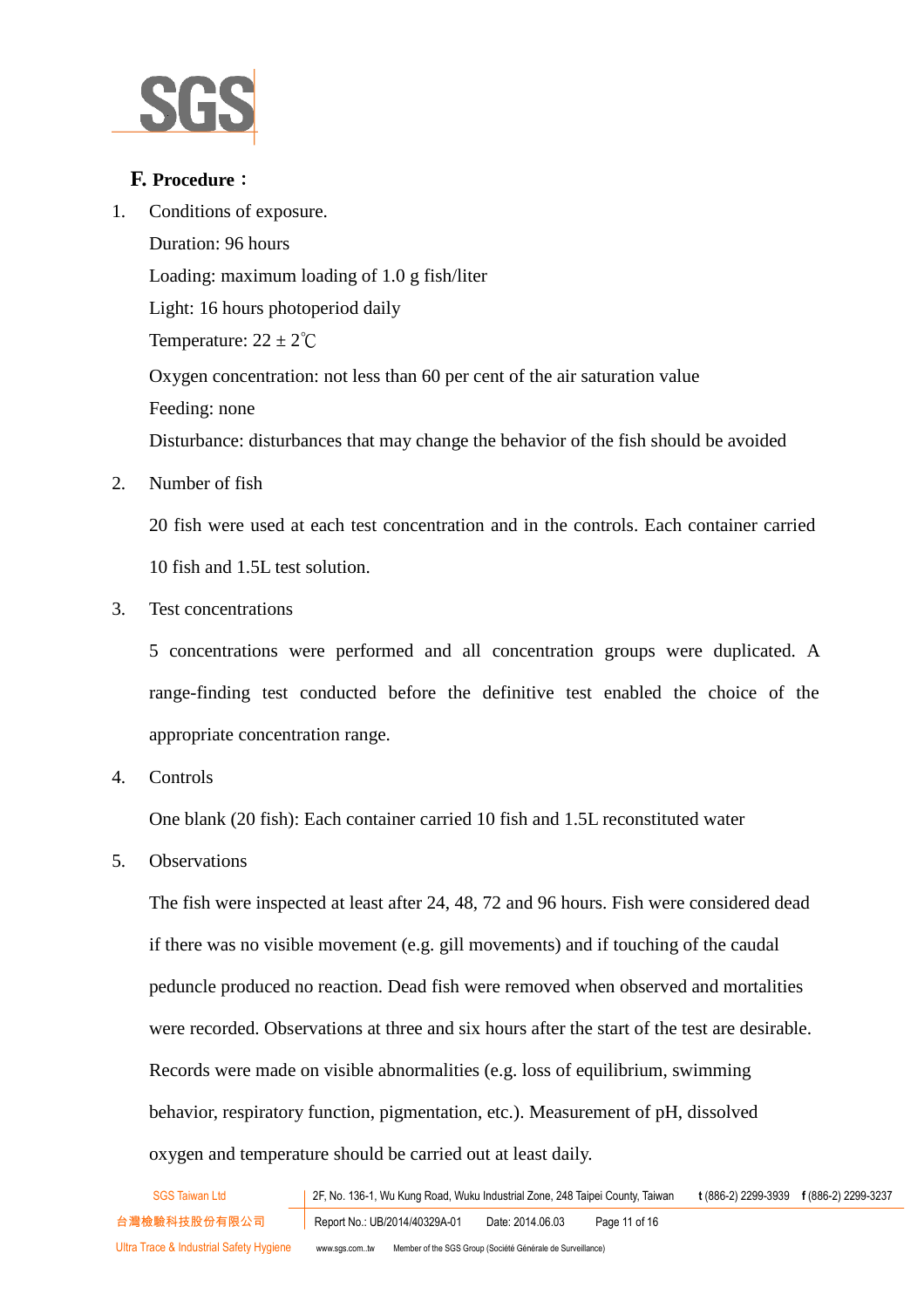

#### **F. Procedure**:

1. Conditions of exposure.

Duration: 96 hours Loading: maximum loading of 1.0 g fish/liter Light: 16 hours photoperiod daily Temperature:  $22 \pm 2^{\circ}C$ Oxygen concentration: not less than 60 per cent of the air saturation value Feeding: none Disturbance: disturbances that may change the behavior of the fish should be avoided

2. Number of fish

20 fish were used at each test concentration and in the controls. Each container carried 10 fish and 1.5L test solution.

3. Test concentrations

5 concentrations were performed and all concentration groups were duplicated. A range-finding test conducted before the definitive test enabled the choice of the appropriate concentration range.

4. Controls

One blank (20 fish): Each container carried 10 fish and 1.5L reconstituted water

5. Observations

The fish were inspected at least after 24, 48, 72 and 96 hours. Fish were considered dead if there was no visible movement (e.g. gill movements) and if touching of the caudal peduncle produced no reaction. Dead fish were removed when observed and mortalities were recorded. Observations at three and six hours after the start of the test are desirable. Records were made on visible abnormalities (e.g. loss of equilibrium, swimming behavior, respiratory function, pigmentation, etc.). Measurement of pH, dissolved oxygen and temperature should be carried out at least daily.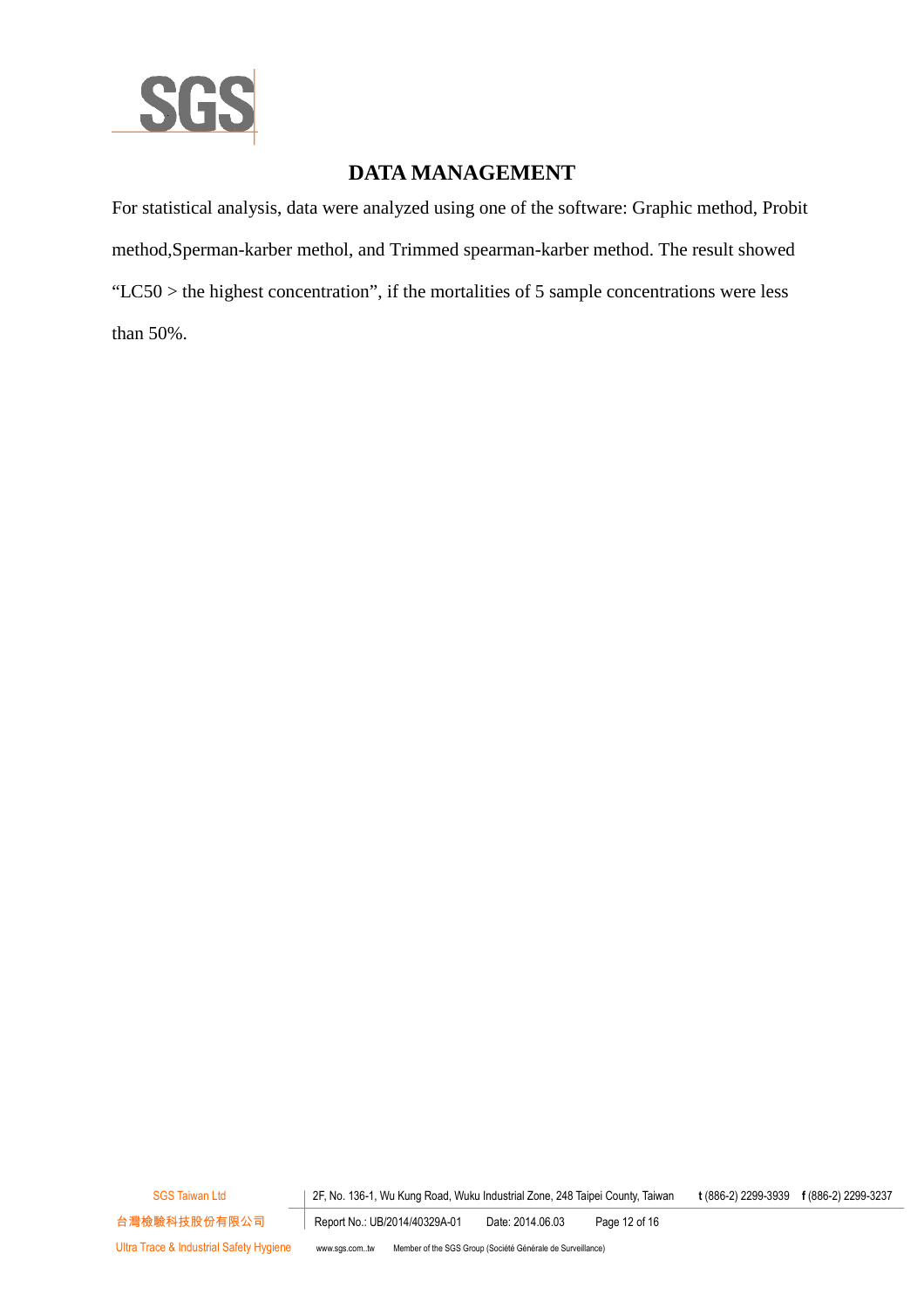

## **DATA MANAGEMENT**

For statistical analysis, data were analyzed using one of the software: Graphic method, Probit method,Sperman-karber methol, and Trimmed spearman-karber method. The result showed "LC50 > the highest concentration", if the mortalities of 5 sample concentrations were less than 50%.

SGS Taiwan Ltd 2F, No. 136-1, Wu Kung Road, Wuku Industrial Zone, 248 Taipei County, Taiwan **t** (886-2) 2299-3939 **f** (886-2) 2299-3237

台灣檢驗科技股份有限公司 Report No.: UB/2014/40329A-01 Date: 2014.06.03 Page 12 of 16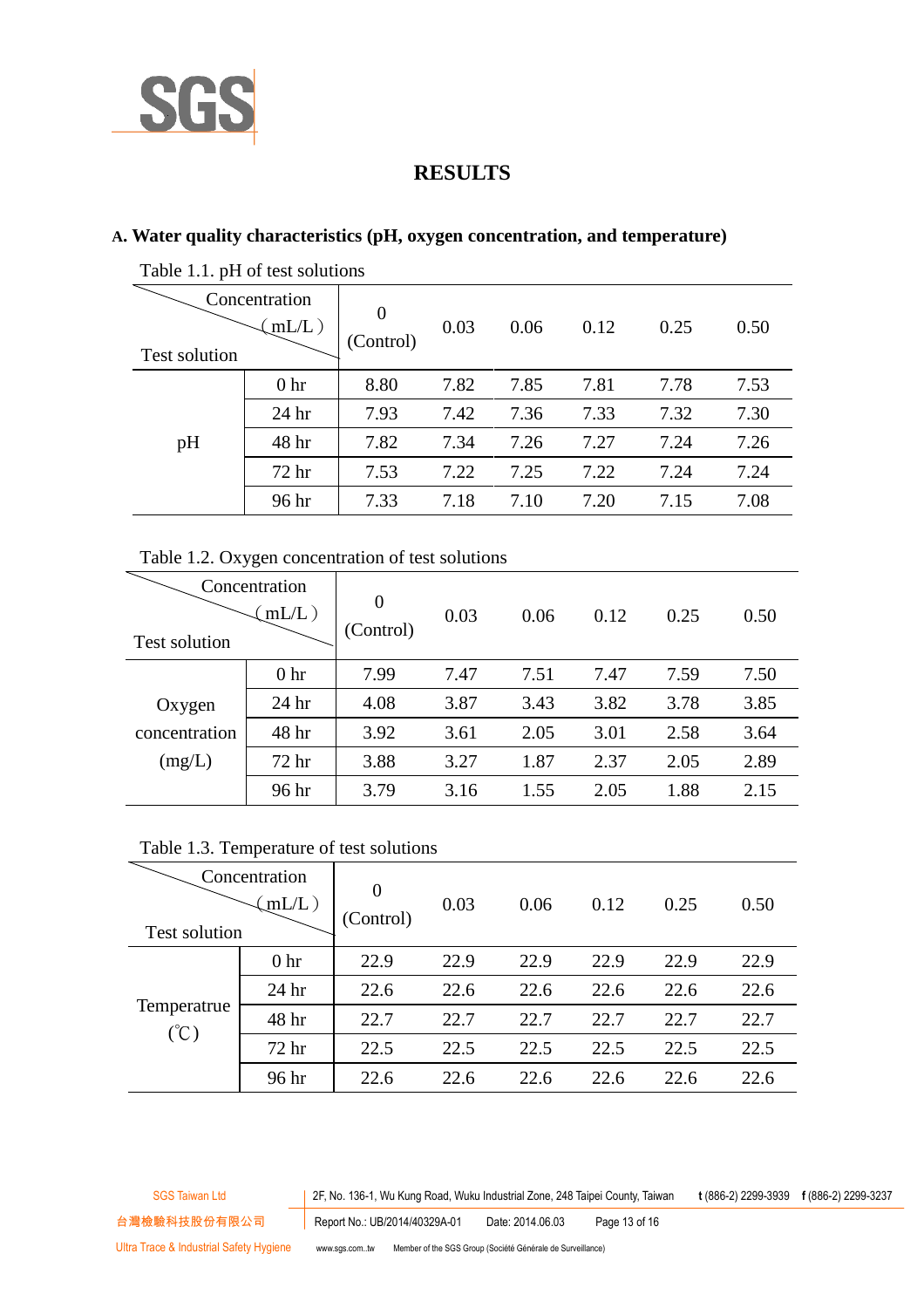

## **RESULTS**

#### **A. Water quality characteristics (pH, oxygen concentration, and temperature)**

| Test solution | Concentration<br>$mL/L$ ) |      | 0.03 | 0.06 | 0.12 | 0.25 | 0.50 |
|---------------|---------------------------|------|------|------|------|------|------|
|               | 0 <sub>hr</sub>           | 8.80 | 7.82 | 7.85 | 7.81 | 7.78 | 7.53 |
| pH            | 24 <sub>hr</sub>          | 7.93 | 7.42 | 7.36 | 7.33 | 7.32 | 7.30 |
|               | 48 hr                     | 7.82 | 7.34 | 7.26 | 7.27 | 7.24 | 7.26 |
|               | 72 hr                     | 7.53 | 7.22 | 7.25 | 7.22 | 7.24 | 7.24 |
|               | 96 hr                     | 7.33 | 7.18 | 7.10 | 7.20 | 7.15 | 7.08 |
|               |                           |      |      |      |      |      |      |

Table 1.1. pH of test solutions

#### Table 1.2. Oxygen concentration of test solutions

| <b>Test solution</b> | Concentration<br>$mL/L$ ) | $\Omega$<br>(Control) | 0.03 | 0.06 | 0.12 | 0.25 | 0.50 |
|----------------------|---------------------------|-----------------------|------|------|------|------|------|
|                      | 0 <sub>hr</sub>           | 7.99                  | 7.47 | 7.51 | 7.47 | 7.59 | 7.50 |
| Oxygen               | 24 <sub>hr</sub>          | 4.08                  | 3.87 | 3.43 | 3.82 | 3.78 | 3.85 |
| concentration        | 48 hr                     | 3.92                  | 3.61 | 2.05 | 3.01 | 2.58 | 3.64 |
| (mg/L)               | 72 <sub>hr</sub>          | 3.88                  | 3.27 | 1.87 | 2.37 | 2.05 | 2.89 |
|                      | 96 hr                     | 3.79                  | 3.16 | 1.55 | 2.05 | 1.88 | 2.15 |

#### Table 1.3. Temperature of test solutions

| Concentration<br>$mL/L$ )<br><b>Test solution</b> |                  | 0<br>(Control) | 0.03 | 0.06 | 0.12 | 0.25 | 0.50 |
|---------------------------------------------------|------------------|----------------|------|------|------|------|------|
|                                                   | 0 <sub>hr</sub>  | 22.9           | 22.9 | 22.9 | 22.9 | 22.9 | 22.9 |
| Temperatrue<br>$(\degree C)$                      | 24 <sub>hr</sub> | 22.6           | 22.6 | 22.6 | 22.6 | 22.6 | 22.6 |
|                                                   | 48 hr            | 22.7           | 22.7 | 22.7 | 22.7 | 22.7 | 22.7 |
|                                                   | 72 <sub>hr</sub> | 22.5           | 22.5 | 22.5 | 22.5 | 22.5 | 22.5 |
|                                                   | 96 hr            | 22.6           | 22.6 | 22.6 | 22.6 | 22.6 | 22.6 |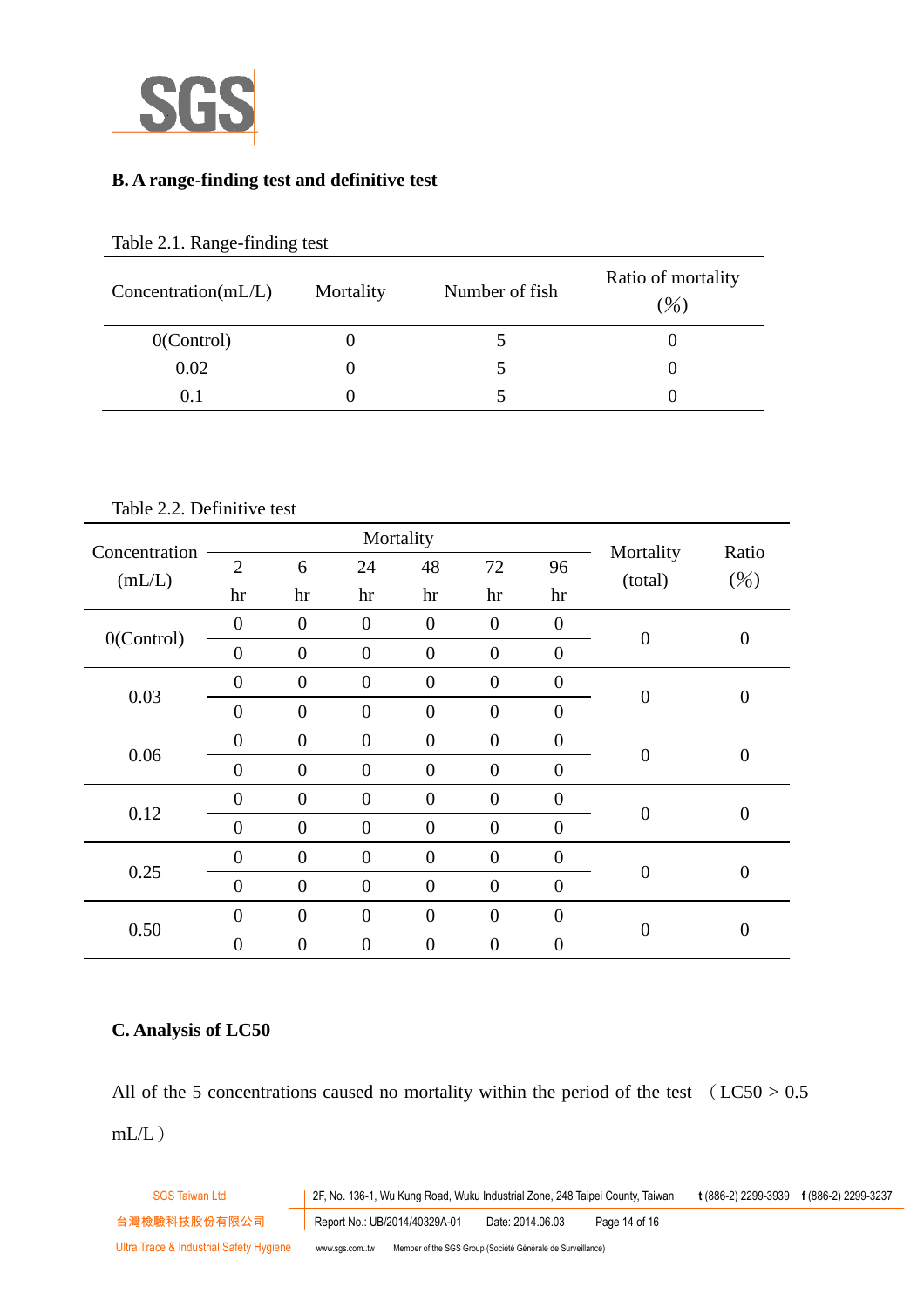

#### **B. A range-finding test and definitive test**

| Concentration(mL/L) | Mortality | Number of fish | Ratio of mortality<br>$(\frac{9}{0})$ |
|---------------------|-----------|----------------|---------------------------------------|
| $0$ (Control)       |           |                |                                       |
| 0.02                |           |                |                                       |
| 0.1                 |           |                |                                       |

#### Table 2.1. Range-finding test

Table 2.2. Definitive test

| Concentration |                |                | Mortality        |                  |                  |                  | Mortality        | Ratio            |
|---------------|----------------|----------------|------------------|------------------|------------------|------------------|------------------|------------------|
|               | $\overline{2}$ | 6              | 24               | 48               | 72               | 96               | (total)          | (%)              |
| (mL/L)        | hr             | hr             | hr               | hr               | hr               | hr               |                  |                  |
|               | $\overline{0}$ | $\overline{0}$ | $\overline{0}$   | $\boldsymbol{0}$ | $\boldsymbol{0}$ | $\boldsymbol{0}$ |                  |                  |
| O(Control)    | $\overline{0}$ | $\overline{0}$ | $\overline{0}$   | $\boldsymbol{0}$ | $\boldsymbol{0}$ | $\overline{0}$   | $\overline{0}$   | $\boldsymbol{0}$ |
|               | $\overline{0}$ | $\overline{0}$ | $\boldsymbol{0}$ | $\overline{0}$   | $\boldsymbol{0}$ | $\boldsymbol{0}$ |                  |                  |
| 0.03          | $\overline{0}$ | $\overline{0}$ | $\overline{0}$   | $\boldsymbol{0}$ | $\boldsymbol{0}$ | $\overline{0}$   | $\overline{0}$   | $\overline{0}$   |
|               | $\overline{0}$ | $\overline{0}$ | $\boldsymbol{0}$ | $\overline{0}$   | $\boldsymbol{0}$ | $\boldsymbol{0}$ | $\overline{0}$   | $\overline{0}$   |
| 0.06          | $\overline{0}$ | $\overline{0}$ | $\overline{0}$   | $\overline{0}$   | $\overline{0}$   | $\overline{0}$   |                  |                  |
|               | $\overline{0}$ | $\overline{0}$ | $\boldsymbol{0}$ | $\boldsymbol{0}$ | $\mathbf{0}$     | $\boldsymbol{0}$ | $\overline{0}$   | $\overline{0}$   |
| 0.12          | $\overline{0}$ | $\overline{0}$ | $\overline{0}$   | $\overline{0}$   | $\overline{0}$   | $\overline{0}$   |                  |                  |
|               | $\overline{0}$ | $\overline{0}$ | $\overline{0}$   | $\overline{0}$   | $\mathbf{0}$     | $\boldsymbol{0}$ | $\overline{0}$   | $\overline{0}$   |
| 0.25          | $\overline{0}$ | $\overline{0}$ | $\overline{0}$   | $\overline{0}$   | $\overline{0}$   | $\overline{0}$   |                  |                  |
| 0.50          | $\overline{0}$ | $\overline{0}$ | $\boldsymbol{0}$ | $\overline{0}$   | $\overline{0}$   | $\boldsymbol{0}$ |                  |                  |
|               | $\overline{0}$ | $\overline{0}$ | $\overline{0}$   | $\overline{0}$   | $\overline{0}$   | $\overline{0}$   | $\boldsymbol{0}$ | $\overline{0}$   |

## **C. Analysis of LC50**

All of the 5 concentrations caused no mortality within the period of the test  $(LC50 > 0.5)$  $mL/L)$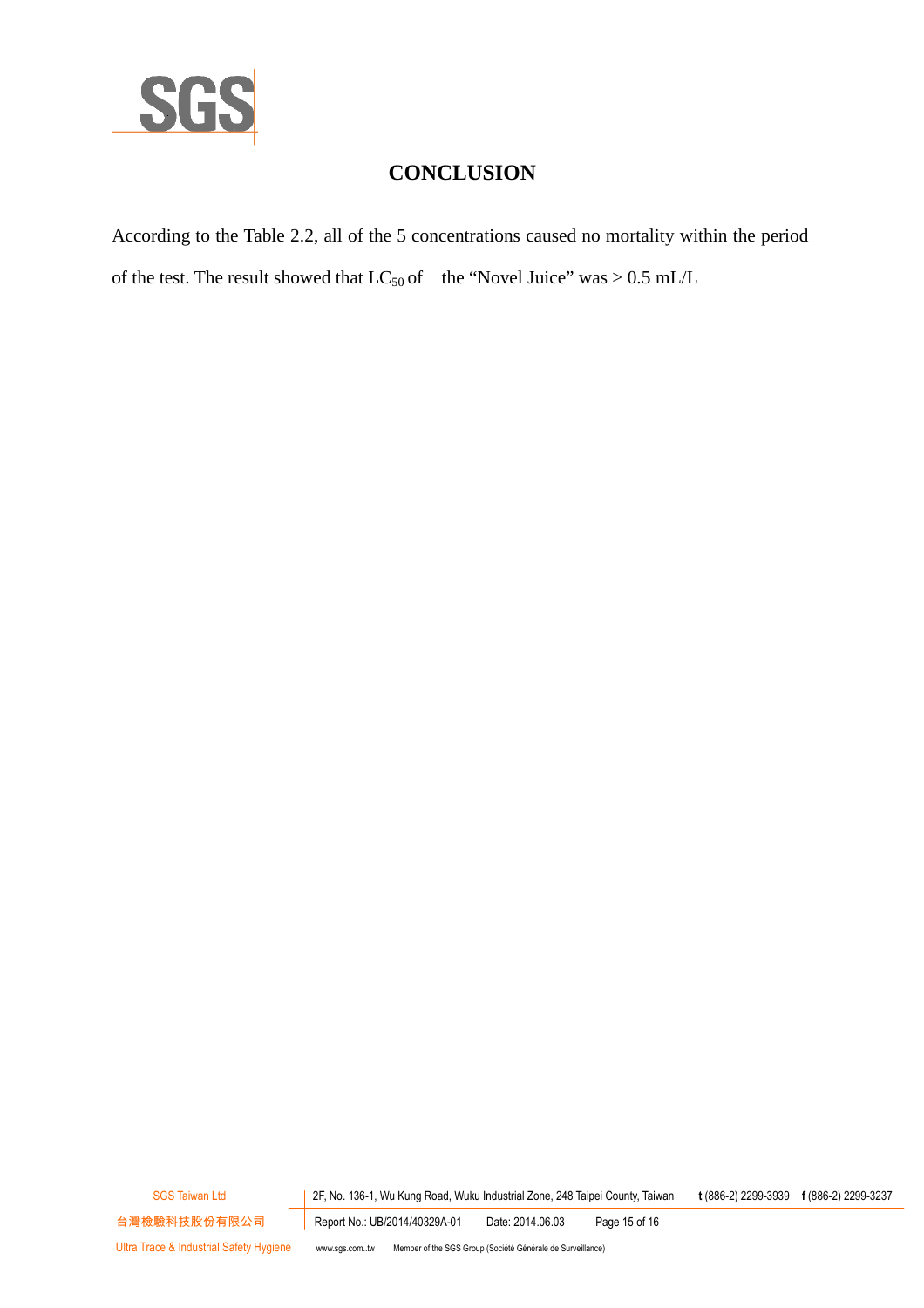

## **CONCLUSION**

According to the Table 2.2, all of the 5 concentrations caused no mortality within the period of the test. The result showed that  $LC_{50}$  of the "Novel Juice" was  $> 0.5$  mL/L

SGS Taiwan Ltd 2F, No. 136-1, Wu Kung Road, Wuku Industrial Zone, 248 Taipei County, Taiwan **t** (886-2) 2299-3939 **f** (886-2) 2299-3237

台灣檢驗科技股份有限公司 Report No.: UB/2014/40329A-01 Date: 2014.06.03 Page 15 of 16

Ultra Trace & Industrial Safety Hygiene www.sgs.com..tw Member of the SGS Group (Société Générale de Surveillance)